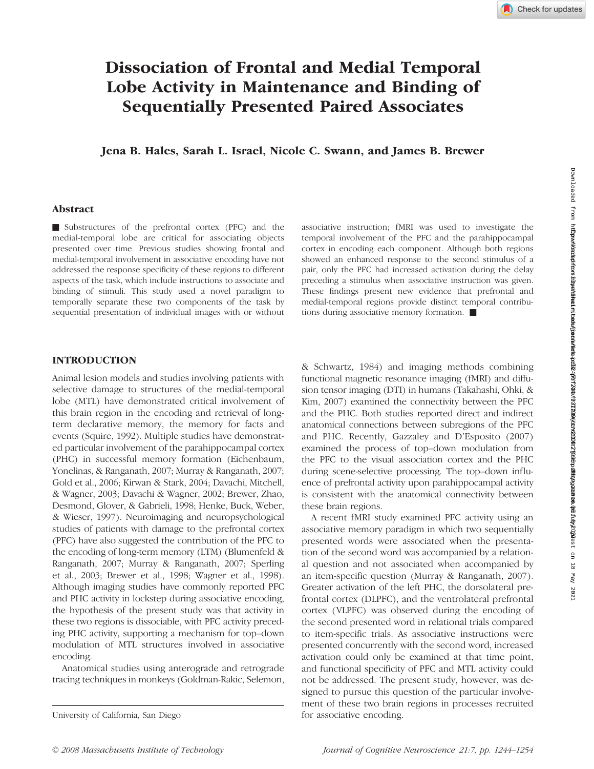# Dissociation of Frontal and Medial Temporal Lobe Activity in Maintenance and Binding of Sequentially Presented Paired Associates

Jena B. Hales, Sarah L. Israel, Nicole C. Swann, and James B. Brewer

# Abstract

& Substructures of the prefrontal cortex (PFC) and the medial-temporal lobe are critical for associating objects presented over time. Previous studies showing frontal and medial-temporal involvement in associative encoding have not addressed the response specificity of these regions to different aspects of the task, which include instructions to associate and binding of stimuli. This study used a novel paradigm to temporally separate these two components of the task by sequential presentation of individual images with or without

INTRODUCTION

Animal lesion models and studies involving patients with selective damage to structures of the medial-temporal lobe (MTL) have demonstrated critical involvement of this brain region in the encoding and retrieval of longterm declarative memory, the memory for facts and events (Squire, 1992). Multiple studies have demonstrated particular involvement of the parahippocampal cortex (PHC) in successful memory formation (Eichenbaum, Yonelinas, & Ranganath, 2007; Murray & Ranganath, 2007; Gold et al., 2006; Kirwan & Stark, 2004; Davachi, Mitchell, & Wagner, 2003; Davachi & Wagner, 2002; Brewer, Zhao, Desmond, Glover, & Gabrieli, 1998; Henke, Buck, Weber, & Wieser, 1997). Neuroimaging and neuropsychological studies of patients with damage to the prefrontal cortex (PFC) have also suggested the contribution of the PFC to the encoding of long-term memory (LTM) (Blumenfeld & Ranganath, 2007; Murray & Ranganath, 2007; Sperling et al., 2003; Brewer et al., 1998; Wagner et al., 1998). Although imaging studies have commonly reported PFC and PHC activity in lockstep during associative encoding, the hypothesis of the present study was that activity in these two regions is dissociable, with PFC activity preceding PHC activity, supporting a mechanism for top–down modulation of MTL structures involved in associative encoding.

Anatomical studies using anterograde and retrograde tracing techniques in monkeys (Goldman-Rakic, Selemon, associative instruction; fMRI was used to investigate the temporal involvement of the PFC and the parahippocampal cortex in encoding each component. Although both regions showed an enhanced response to the second stimulus of a pair, only the PFC had increased activation during the delay preceding a stimulus when associative instruction was given. These findings present new evidence that prefrontal and medial-temporal regions provide distinct temporal contributions during associative memory formation.  $\blacksquare$ 

& Schwartz, 1984) and imaging methods combining functional magnetic resonance imaging (fMRI) and diffusion tensor imaging (DTI) in humans (Takahashi, Ohki, & Kim, 2007) examined the connectivity between the PFC and the PHC. Both studies reported direct and indirect anatomical connections between subregions of the PFC and PHC. Recently, Gazzaley and D'Esposito (2007) examined the process of top–down modulation from the PFC to the visual association cortex and the PHC during scene-selective processing. The top–down influence of prefrontal activity upon parahippocampal activity is consistent with the anatomical connectivity between these brain regions.

A recent fMRI study examined PFC activity using an associative memory paradigm in which two sequentially presented words were associated when the presentation of the second word was accompanied by a relational question and not associated when accompanied by an item-specific question (Murray & Ranganath, 2007). Greater activation of the left PHC, the dorsolateral prefrontal cortex (DLPFC), and the ventrolateral prefrontal cortex (VLPFC) was observed during the encoding of the second presented word in relational trials compared to item-specific trials. As associative instructions were presented concurrently with the second word, increased activation could only be examined at that time point, and functional specificity of PFC and MTL activity could not be addressed. The present study, however, was designed to pursue this question of the particular involvement of these two brain regions in processes recruited

University of California, San Diego for associative encoding.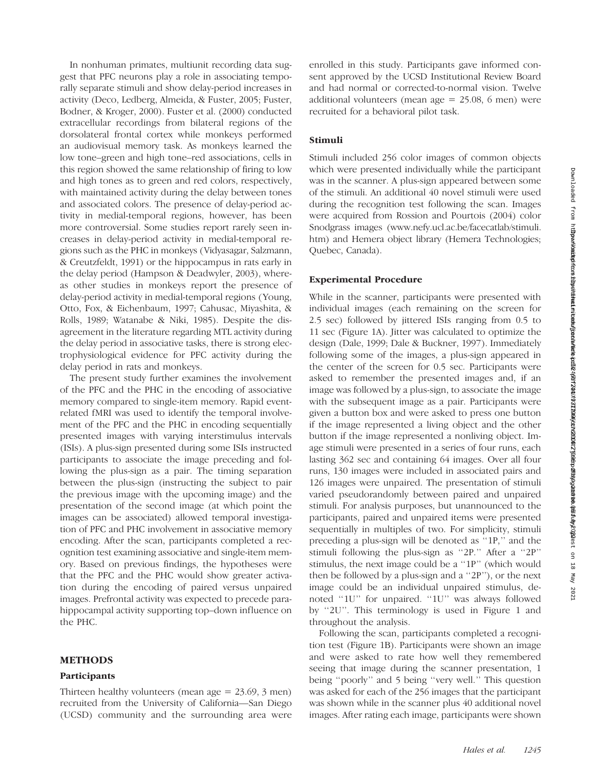In nonhuman primates, multiunit recording data suggest that PFC neurons play a role in associating temporally separate stimuli and show delay-period increases in activity (Deco, Ledberg, Almeida, & Fuster, 2005; Fuster, Bodner, & Kroger, 2000). Fuster et al. (2000) conducted extracellular recordings from bilateral regions of the dorsolateral frontal cortex while monkeys performed an audiovisual memory task. As monkeys learned the low tone–green and high tone–red associations, cells in this region showed the same relationship of firing to low and high tones as to green and red colors, respectively, with maintained activity during the delay between tones and associated colors. The presence of delay-period activity in medial-temporal regions, however, has been more controversial. Some studies report rarely seen increases in delay-period activity in medial-temporal regions such as the PHC in monkeys (Vidyasagar, Salzmann, & Creutzfeldt, 1991) or the hippocampus in rats early in the delay period (Hampson & Deadwyler, 2003), whereas other studies in monkeys report the presence of delay-period activity in medial-temporal regions (Young, Otto, Fox, & Eichenbaum, 1997; Cahusac, Miyashita, & Rolls, 1989; Watanabe & Niki, 1985). Despite the disagreement in the literature regarding MTL activity during the delay period in associative tasks, there is strong electrophysiological evidence for PFC activity during the delay period in rats and monkeys.

The present study further examines the involvement of the PFC and the PHC in the encoding of associative memory compared to single-item memory. Rapid eventrelated fMRI was used to identify the temporal involvement of the PFC and the PHC in encoding sequentially presented images with varying interstimulus intervals (ISIs). A plus-sign presented during some ISIs instructed participants to associate the image preceding and following the plus-sign as a pair. The timing separation between the plus-sign (instructing the subject to pair the previous image with the upcoming image) and the presentation of the second image (at which point the images can be associated) allowed temporal investigation of PFC and PHC involvement in associative memory encoding. After the scan, participants completed a recognition test examining associative and single-item memory. Based on previous findings, the hypotheses were that the PFC and the PHC would show greater activation during the encoding of paired versus unpaired images. Prefrontal activity was expected to precede parahippocampal activity supporting top–down influence on the PHC.

#### METHODS

# **Participants**

Thirteen healthy volunteers (mean age  $= 23.69, 3$  men) recruited from the University of California—San Diego (UCSD) community and the surrounding area were

enrolled in this study. Participants gave informed consent approved by the UCSD Institutional Review Board and had normal or corrected-to-normal vision. Twelve additional volunteers (mean age  $= 25.08$ , 6 men) were recruited for a behavioral pilot task.

## Stimuli

Stimuli included 256 color images of common objects which were presented individually while the participant was in the scanner. A plus-sign appeared between some of the stimuli. An additional 40 novel stimuli were used during the recognition test following the scan. Images were acquired from Rossion and Pourtois (2004) color Snodgrass images (www.nefy.ucl.ac.be/facecatlab/stimuli. htm) and Hemera object library (Hemera Technologies; Quebec, Canada).

#### Experimental Procedure

While in the scanner, participants were presented with individual images (each remaining on the screen for 2.5 sec) followed by jittered ISIs ranging from 0.5 to 11 sec (Figure 1A). Jitter was calculated to optimize the design (Dale, 1999; Dale & Buckner, 1997). Immediately following some of the images, a plus-sign appeared in the center of the screen for 0.5 sec. Participants were asked to remember the presented images and, if an image was followed by a plus-sign, to associate the image with the subsequent image as a pair. Participants were given a button box and were asked to press one button if the image represented a living object and the other button if the image represented a nonliving object. Image stimuli were presented in a series of four runs, each lasting 362 sec and containing 64 images. Over all four runs, 130 images were included in associated pairs and 126 images were unpaired. The presentation of stimuli varied pseudorandomly between paired and unpaired stimuli. For analysis purposes, but unannounced to the participants, paired and unpaired items were presented sequentially in multiples of two. For simplicity, stimuli preceding a plus-sign will be denoted as ''1P,'' and the stimuli following the plus-sign as ''2P.'' After a ''2P'' stimulus, the next image could be a ''1P'' (which would then be followed by a plus-sign and a ''2P''), or the next image could be an individual unpaired stimulus, denoted ''1U'' for unpaired. ''1U'' was always followed by ''2U''. This terminology is used in Figure 1 and throughout the analysis.

Following the scan, participants completed a recognition test (Figure 1B). Participants were shown an image and were asked to rate how well they remembered seeing that image during the scanner presentation, 1 being ''poorly'' and 5 being ''very well.'' This question was asked for each of the 256 images that the participant was shown while in the scanner plus 40 additional novel images. After rating each image, participants were shown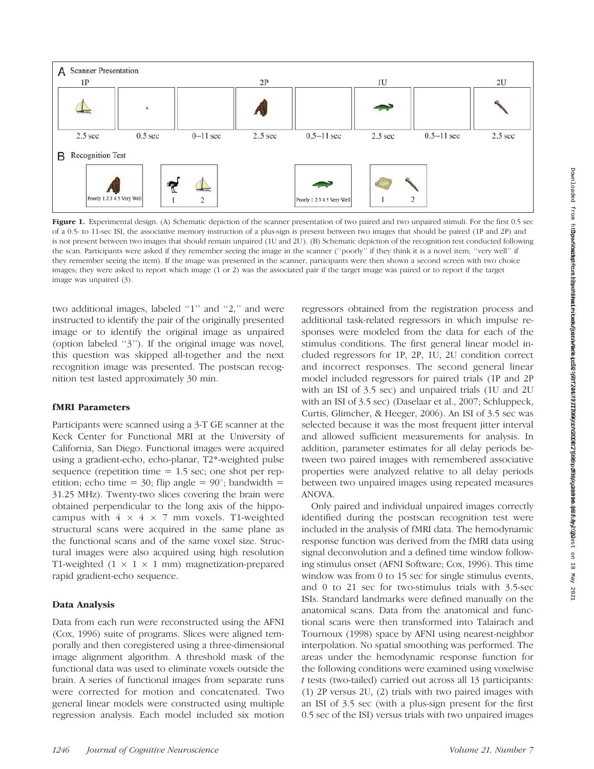

Figure 1. Experimental design. (A) Schematic depiction of the scanner presentation of two paired and two unpaired stimuli. For the first 0.5 sec of a 0.5- to 11-sec ISI, the associative memory instruction of a plus-sign is present between two images that should be paired (1P and 2P) and is not present between two images that should remain unpaired (1U and 2U). (B) Schematic depiction of the recognition test conducted following the scan. Participants were asked if they remember seeing the image in the scanner (''poorly'' if they think it is a novel item; ''very well'' if they remember seeing the item). If the image was presented in the scanner, participants were then shown a second screen with two choice images; they were asked to report which image (1 or 2) was the associated pair if the target image was paired or to report if the target image was unpaired (3).

two additional images, labeled "1" and "2," and were instructed to identify the pair of the originally presented image or to identify the original image as unpaired (option labeled ''3''). If the original image was novel, this question was skipped all-together and the next recognition image was presented. The postscan recognition test lasted approximately 30 min.

#### fMRI Parameters

Participants were scanned using a 3-T GE scanner at the Keck Center for Functional MRI at the University of California, San Diego. Functional images were acquired using a gradient-echo, echo-planar, T2\*-weighted pulse sequence (repetition time  $= 1.5$  sec; one shot per repetition; echo time = 30; flip angle =  $90^\circ$ ; bandwidth = 31.25 MHz). Twenty-two slices covering the brain were obtained perpendicular to the long axis of the hippocampus with  $4 \times 4 \times 7$  mm voxels. T1-weighted structural scans were acquired in the same plane as the functional scans and of the same voxel size. Structural images were also acquired using high resolution T1-weighted  $(1 \times 1 \times 1$  mm) magnetization-prepared rapid gradient-echo sequence.

#### Data Analysis

Data from each run were reconstructed using the AFNI (Cox, 1996) suite of programs. Slices were aligned temporally and then coregistered using a three-dimensional image alignment algorithm. A threshold mask of the functional data was used to eliminate voxels outside the brain. A series of functional images from separate runs were corrected for motion and concatenated. Two general linear models were constructed using multiple regression analysis. Each model included six motion regressors obtained from the registration process and additional task-related regressors in which impulse responses were modeled from the data for each of the stimulus conditions. The first general linear model included regressors for 1P, 2P, 1U, 2U condition correct and incorrect responses. The second general linear model included regressors for paired trials (1P and 2P with an ISI of 3.5 sec) and unpaired trials (1U and 2U with an ISI of 3.5 sec) (Daselaar et al., 2007; Schluppeck, Curtis, Glimcher, & Heeger, 2006). An ISI of 3.5 sec was selected because it was the most frequent jitter interval and allowed sufficient measurements for analysis. In addition, parameter estimates for all delay periods between two paired images with remembered associative properties were analyzed relative to all delay periods between two unpaired images using repeated measures ANOVA.

Only paired and individual unpaired images correctly identified during the postscan recognition test were included in the analysis of fMRI data. The hemodynamic response function was derived from the fMRI data using signal deconvolution and a defined time window following stimulus onset (AFNI Software; Cox, 1996). This time window was from 0 to 15 sec for single stimulus events, and 0 to 21 sec for two-stimulus trials with 3.5-sec ISIs. Standard landmarks were defined manually on the anatomical scans. Data from the anatomical and functional scans were then transformed into Talairach and Tournoux (1998) space by AFNI using nearest-neighbor interpolation. No spatial smoothing was performed. The areas under the hemodynamic response function for the following conditions were examined using voxelwise t tests (two-tailed) carried out across all 13 participants: (1) 2P versus 2U, (2) trials with two paired images with an ISI of 3.5 sec (with a plus-sign present for the first 0.5 sec of the ISI) versus trials with two unpaired images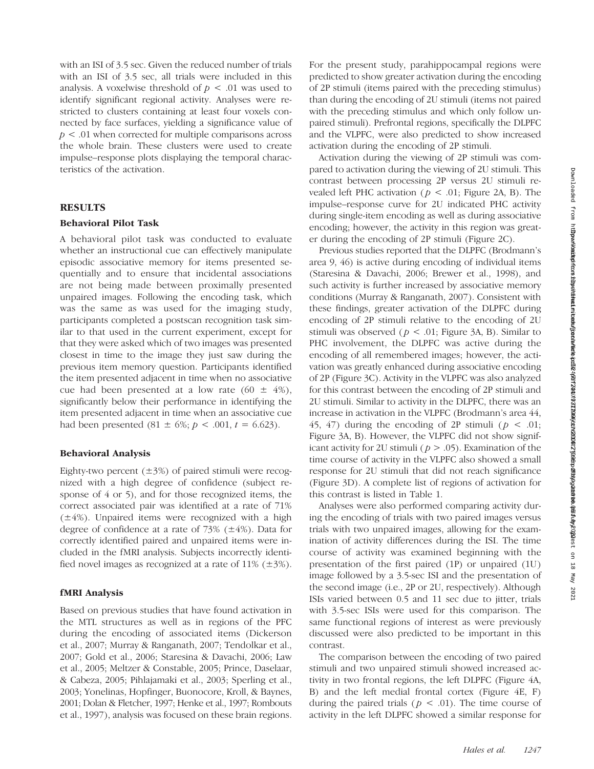with an ISI of 3.5 sec. Given the reduced number of trials with an ISI of 3.5 sec, all trials were included in this analysis. A voxelwise threshold of  $p < 0.01$  was used to identify significant regional activity. Analyses were restricted to clusters containing at least four voxels connected by face surfaces, yielding a significance value of  $p < .01$  when corrected for multiple comparisons across the whole brain. These clusters were used to create impulse–response plots displaying the temporal characteristics of the activation.

## RESULTS

## Behavioral Pilot Task

A behavioral pilot task was conducted to evaluate whether an instructional cue can effectively manipulate episodic associative memory for items presented sequentially and to ensure that incidental associations are not being made between proximally presented unpaired images. Following the encoding task, which was the same as was used for the imaging study, participants completed a postscan recognition task similar to that used in the current experiment, except for that they were asked which of two images was presented closest in time to the image they just saw during the previous item memory question. Participants identified the item presented adjacent in time when no associative cue had been presented at a low rate  $(60 \pm 4\%)$ , significantly below their performance in identifying the item presented adjacent in time when an associative cue had been presented  $(81 \pm 6\%; p < .001, t = 6.623)$ .

#### Behavioral Analysis

Eighty-two percent  $(\pm 3\%)$  of paired stimuli were recognized with a high degree of confidence (subject response of 4 or 5), and for those recognized items, the correct associated pair was identified at a rate of 71%  $(\pm 4\%)$ . Unpaired items were recognized with a high degree of confidence at a rate of  $73\%$  ( $\pm 4\%$ ). Data for correctly identified paired and unpaired items were included in the fMRI analysis. Subjects incorrectly identified novel images as recognized at a rate of  $11\%$  ( $\pm 3\%$ ).

## fMRI Analysis

Based on previous studies that have found activation in the MTL structures as well as in regions of the PFC during the encoding of associated items (Dickerson et al., 2007; Murray & Ranganath, 2007; Tendolkar et al., 2007; Gold et al., 2006; Staresina & Davachi, 2006; Law et al., 2005; Meltzer & Constable, 2005; Prince, Daselaar, & Cabeza, 2005; Pihlajamaki et al., 2003; Sperling et al., 2003; Yonelinas, Hopfinger, Buonocore, Kroll, & Baynes, 2001; Dolan & Fletcher, 1997; Henke et al., 1997; Rombouts et al., 1997), analysis was focused on these brain regions.

For the present study, parahippocampal regions were predicted to show greater activation during the encoding of 2P stimuli (items paired with the preceding stimulus) than during the encoding of 2U stimuli (items not paired with the preceding stimulus and which only follow unpaired stimuli). Prefrontal regions, specifically the DLPFC and the VLPFC, were also predicted to show increased activation during the encoding of 2P stimuli.

Activation during the viewing of 2P stimuli was compared to activation during the viewing of 2U stimuli. This contrast between processing 2P versus 2U stimuli revealed left PHC activation ( $p < .01$ ; Figure 2A, B). The impulse–response curve for 2U indicated PHC activity during single-item encoding as well as during associative encoding; however, the activity in this region was greater during the encoding of 2P stimuli (Figure 2C).

Previous studies reported that the DLPFC (Brodmann's area 9, 46) is active during encoding of individual items (Staresina & Davachi, 2006; Brewer et al., 1998), and such activity is further increased by associative memory conditions (Murray & Ranganath, 2007). Consistent with these findings, greater activation of the DLPFC during encoding of 2P stimuli relative to the encoding of 2U stimuli was observed ( $p < .01$ ; Figure 3A, B). Similar to PHC involvement, the DLPFC was active during the encoding of all remembered images; however, the activation was greatly enhanced during associative encoding of 2P (Figure 3C). Activity in the VLPFC was also analyzed for this contrast between the encoding of 2P stimuli and 2U stimuli. Similar to activity in the DLPFC, there was an increase in activation in the VLPFC (Brodmann's area 44, 45, 47) during the encoding of 2P stimuli ( $p < .01$ ; Figure 3A, B). However, the VLPFC did not show significant activity for 2U stimuli ( $p > .05$ ). Examination of the time course of activity in the VLPFC also showed a small response for 2U stimuli that did not reach significance (Figure 3D). A complete list of regions of activation for this contrast is listed in Table 1.

Analyses were also performed comparing activity during the encoding of trials with two paired images versus trials with two unpaired images, allowing for the examination of activity differences during the ISI. The time course of activity was examined beginning with the presentation of the first paired (1P) or unpaired (1U) image followed by a 3.5-sec ISI and the presentation of the second image (i.e., 2P or 2U, respectively). Although ISIs varied between 0.5 and 11 sec due to jitter, trials with 3.5-sec ISIs were used for this comparison. The same functional regions of interest as were previously discussed were also predicted to be important in this contrast.

The comparison between the encoding of two paired stimuli and two unpaired stimuli showed increased activity in two frontal regions, the left DLPFC (Figure 4A, B) and the left medial frontal cortex (Figure 4E, F) during the paired trials ( $p < .01$ ). The time course of activity in the left DLPFC showed a similar response for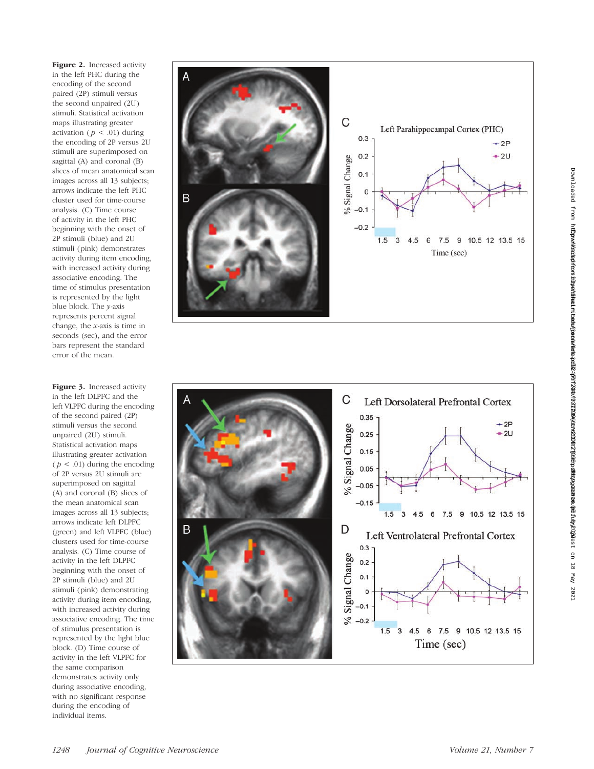Figure 2. Increased activity in the left PHC during the encoding of the second paired (2P) stimuli versus the second unpaired (2U) stimuli. Statistical activation maps illustrating greater activation ( $p < .01$ ) during the encoding of 2P versus 2U stimuli are superimposed on sagittal (A) and coronal (B) slices of mean anatomical scan images across all 13 subjects; arrows indicate the left PHC cluster used for time-course analysis. (C) Time course of activity in the left PHC beginning with the onset of 2P stimuli (blue) and 2U stimuli (pink) demonstrates activity during item encoding, with increased activity during associative encoding. The time of stimulus presentation is represented by the light blue block. The  $\nu$ -axis represents percent signal change, the  $x$ -axis is time in seconds (sec), and the error bars represent the standard error of the mean.

Figure 3. Increased activity in the left DLPFC and the left VLPFC during the encoding of the second paired (2P) stimuli versus the second unpaired (2U) stimuli. Statistical activation maps illustrating greater activation ( $p < .01$ ) during the encoding of 2P versus 2U stimuli are superimposed on sagittal (A) and coronal (B) slices of the mean anatomical scan images across all 13 subjects; arrows indicate left DLPFC (green) and left VLPFC (blue) clusters used for time-course analysis. (C) Time course of activity in the left DLPFC beginning with the onset of 2P stimuli (blue) and 2U stimuli (pink) demonstrating activity during item encoding, with increased activity during associative encoding. The time of stimulus presentation is represented by the light blue block. (D) Time course of activity in the left VLPFC for the same comparison demonstrates activity only during associative encoding, with no significant response during the encoding of individual items.



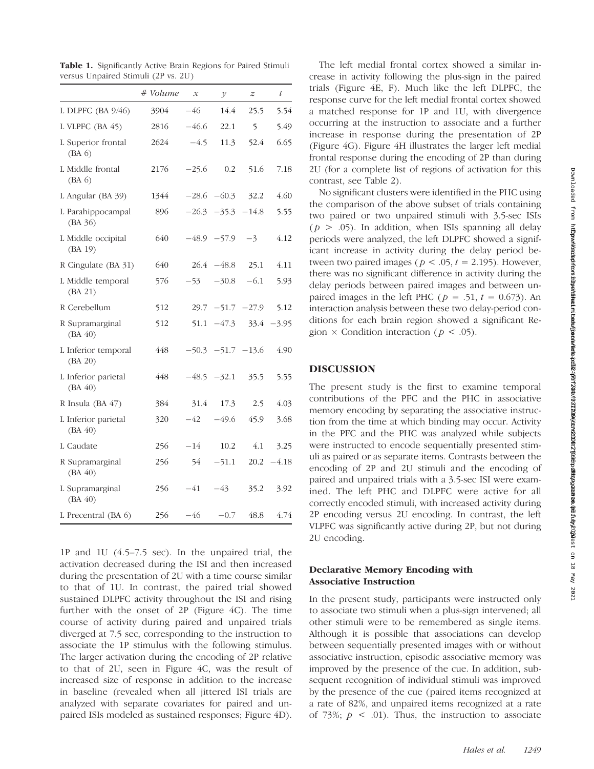|                                | # Volume | $\mathcal{X}$ | $\mathcal{Y}$   | $\boldsymbol{z}$ | t       |
|--------------------------------|----------|---------------|-----------------|------------------|---------|
| L DLPFC (BA 9/46)              | 3904     | $-46$         | 14.4            | 25.5             | 5.54    |
| L VLPFC $(BA 45)$              | 2816     | $-46.6$       | 22.1            | 5                | 5.49    |
| L Superior frontal<br>(BA 6)   | 2624     | $-4.5$        | 11.3            | 52.4             | 6.65    |
| L Middle frontal<br>(BA 6)     | 2176     | $-25.6$       | 0.2             | 51.6             | 7.18    |
| L Angular (BA 39)              | 1344     | $-28.6$       | $-60.3$         | 32.2             | 4.60    |
| L Parahippocampal<br>(BA 36)   | 896      | $-26.3$       | $-35.3$         | $-14.8$          | 5.55    |
| L Middle occipital<br>(BA 19)  | 640      |               | $-48.9$ $-57.9$ | $-3$             | 4.12    |
| R Cingulate (BA 31)            | 640      | 26.4          | $-48.8$         | 25.1             | 4.11    |
| L Middle temporal<br>(BA 21)   | 576      | $-53$         | $-30.8$         | $-6.1$           | 5.93    |
| R Cerebellum                   | 512      | 29.7          |                 | $-51.7 -27.9$    | 5.12    |
| R Supramarginal<br>(BA 40)     | 512      | 51.1          | $-47.3$         | 33.4             | $-3.95$ |
| L Inferior temporal<br>(BA 20) | 448      | $-50.3$       | $-51.7$         | $-13.6$          | 4.90    |
| L Inferior parietal<br>(BA 40) | 448      |               | $-48.5$ $-32.1$ | 35.5             | 5.55    |
| R Insula (BA 47)               | 384      | 31.4          | 17.3            | 2.5              | 4.03    |
| L Inferior parietal<br>(BA 40) | 320      | $-42$         | $-49.6$         | 45.9             | 3.68    |
| L Caudate                      | 256      | $-14$         | 10.2            | 4.1              | 3.25    |
| R Supramarginal<br>(BA 40)     | 256      | 54            | $-51.1$         | 20.2             | $-4.18$ |
| L Supramarginal<br>(BA 40)     | 256      | $-41$         | $-43$           | 35.2             | 3.92    |
| L Precentral $(BA 6)$          | 256      | -46           | $-0.7$          | 48.8             | 4.74    |

1P and 1U (4.5–7.5 sec). In the unpaired trial, the activation decreased during the ISI and then increased during the presentation of 2U with a time course similar to that of 1U. In contrast, the paired trial showed sustained DLPFC activity throughout the ISI and rising further with the onset of 2P (Figure 4C). The time course of activity during paired and unpaired trials diverged at 7.5 sec, corresponding to the instruction to associate the 1P stimulus with the following stimulus. The larger activation during the encoding of 2P relative to that of 2U, seen in Figure 4C, was the result of increased size of response in addition to the increase in baseline (revealed when all jittered ISI trials are analyzed with separate covariates for paired and unpaired ISIs modeled as sustained responses; Figure 4D).

The left medial frontal cortex showed a similar increase in activity following the plus-sign in the paired trials (Figure 4E, F). Much like the left DLPFC, the response curve for the left medial frontal cortex showed a matched response for 1P and 1U, with divergence occurring at the instruction to associate and a further increase in response during the presentation of 2P (Figure 4G). Figure 4H illustrates the larger left medial frontal response during the encoding of 2P than during 2U (for a complete list of regions of activation for this contrast, see Table 2).

No significant clusters were identified in the PHC using the comparison of the above subset of trials containing two paired or two unpaired stimuli with 3.5-sec ISIs  $(p > .05)$ . In addition, when ISIs spanning all delay periods were analyzed, the left DLPFC showed a significant increase in activity during the delay period between two paired images ( $p < .05$ ,  $t = 2.195$ ). However, there was no significant difference in activity during the delay periods between paired images and between unpaired images in the left PHC ( $p = .51$ ,  $t = 0.673$ ). An interaction analysis between these two delay-period conditions for each brain region showed a significant Region  $\times$  Condition interaction ( $p < .05$ ).

# DISCUSSION

The present study is the first to examine temporal contributions of the PFC and the PHC in associative memory encoding by separating the associative instruction from the time at which binding may occur. Activity in the PFC and the PHC was analyzed while subjects were instructed to encode sequentially presented stimuli as paired or as separate items. Contrasts between the encoding of 2P and 2U stimuli and the encoding of paired and unpaired trials with a 3.5-sec ISI were examined. The left PHC and DLPFC were active for all correctly encoded stimuli, with increased activity during 2P encoding versus 2U encoding. In contrast, the left VLPFC was significantly active during 2P, but not during 2U encoding.

# Declarative Memory Encoding with Associative Instruction

In the present study, participants were instructed only to associate two stimuli when a plus-sign intervened; all other stimuli were to be remembered as single items. Although it is possible that associations can develop between sequentially presented images with or without associative instruction, episodic associative memory was improved by the presence of the cue. In addition, subsequent recognition of individual stimuli was improved by the presence of the cue (paired items recognized at a rate of 82%, and unpaired items recognized at a rate of 73%;  $p \leq 0.01$ . Thus, the instruction to associate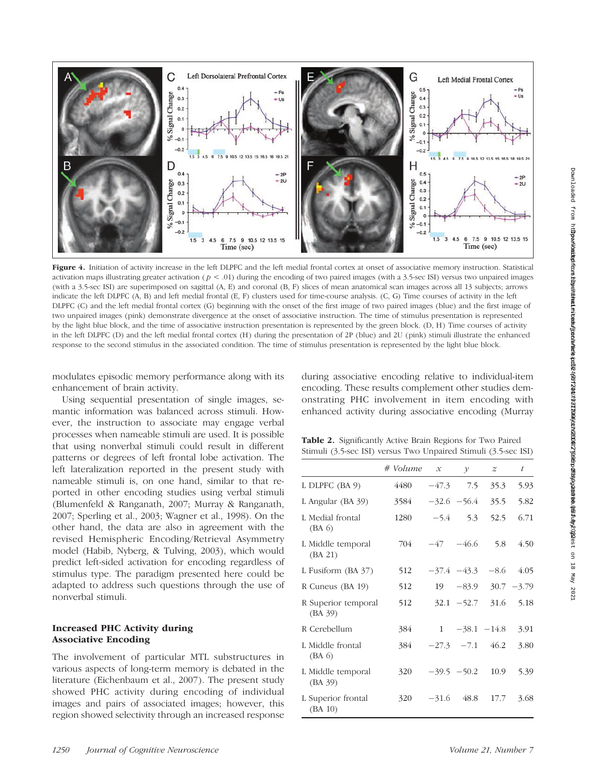

Figure 4. Initiation of activity increase in the left DLPFC and the left medial frontal cortex at onset of associative memory instruction. Statistical activation maps illustrating greater activation ( $p < .01$ ) during the encoding of two paired images (with a 3.5-sec ISI) versus two unpaired images (with a 3.5-sec ISI) are superimposed on sagittal (A, E) and coronal (B, F) slices of mean anatomical scan images across all 13 subjects; arrows indicate the left DLPFC (A, B) and left medial frontal (E, F) clusters used for time-course analysis. (C, G) Time courses of activity in the left DLPFC (C) and the left medial frontal cortex (G) beginning with the onset of the first image of two paired images (blue) and the first image of two unpaired images (pink) demonstrate divergence at the onset of associative instruction. The time of stimulus presentation is represented by the light blue block, and the time of associative instruction presentation is represented by the green block. (D, H) Time courses of activity in the left DLPFC (D) and the left medial frontal cortex (H) during the presentation of 2P (blue) and 2U (pink) stimuli illustrate the enhanced response to the second stimulus in the associated condition. The time of stimulus presentation is represented by the light blue block.

modulates episodic memory performance along with its enhancement of brain activity.

Using sequential presentation of single images, semantic information was balanced across stimuli. However, the instruction to associate may engage verbal processes when nameable stimuli are used. It is possible that using nonverbal stimuli could result in different patterns or degrees of left frontal lobe activation. The left lateralization reported in the present study with nameable stimuli is, on one hand, similar to that reported in other encoding studies using verbal stimuli (Blumenfeld & Ranganath, 2007; Murray & Ranganath, 2007; Sperling et al., 2003; Wagner et al., 1998). On the other hand, the data are also in agreement with the revised Hemispheric Encoding/Retrieval Asymmetry model (Habib, Nyberg, & Tulving, 2003), which would predict left-sided activation for encoding regardless of stimulus type. The paradigm presented here could be adapted to address such questions through the use of nonverbal stimuli.

## Increased PHC Activity during Associative Encoding

The involvement of particular MTL substructures in various aspects of long-term memory is debated in the literature (Eichenbaum et al., 2007). The present study showed PHC activity during encoding of individual images and pairs of associated images; however, this region showed selectivity through an increased response

during associative encoding relative to individual-item encoding. These results complement other studies demonstrating PHC involvement in item encoding with enhanced activity during associative encoding (Murray

|  | <b>Table 2.</b> Significantly Active Brain Regions for Two Paired |  |  |
|--|-------------------------------------------------------------------|--|--|
|  | Stimuli (3.5-sec ISI) versus Two Unpaired Stimuli (3.5-sec ISI)   |  |  |

|                                | # Volume | $\mathcal{X}$ | $\mathcal V$        | $\boldsymbol{z}$     | t    |
|--------------------------------|----------|---------------|---------------------|----------------------|------|
| L DLPFC $(BA 9)$               | 4480     | $-47.3$       | 7.5                 | 35.3                 | 5.93 |
| L Angular (BA 39)              | 3584     |               | $-32.6$ $-56.4$     | 35.5                 | 5.82 |
| L Medial frontal<br>(BA 6)     | 1280     | $-5.4$        | 5.3                 | 52.5                 | 6.71 |
| L Middle temporal<br>(BA 21)   | 704      |               | $-47 - 46.6$ 5.8    |                      | 4.50 |
| L Fusiform (BA 37)             | 512      |               | $-37.4$ $-43.3$     | $-8.6$               | 4.05 |
| R Cuneus (BA 19)               | 512      | 19            |                     | $-83.9$ 30.7 $-3.79$ |      |
| R Superior temporal<br>(BA 39) | 512      |               | $32.1 - 52.7$       | 31.6                 | 5.18 |
| R Cerebellum                   | 384      | $1 \quad$     |                     | $-38.1 -14.8$        | 3.91 |
| L Middle frontal<br>(BA 6)     | 384      |               | $-27.3$ $-7.1$ 46.2 |                      | 3.80 |
| L Middle temporal<br>(BA 39)   | 320      |               | $-39.5$ $-50.2$     | 10.9                 | 5.39 |
| L Superior frontal<br>(BA 10)  | 320      | $-31.6$       | 48.8                | 17.7                 | 3.68 |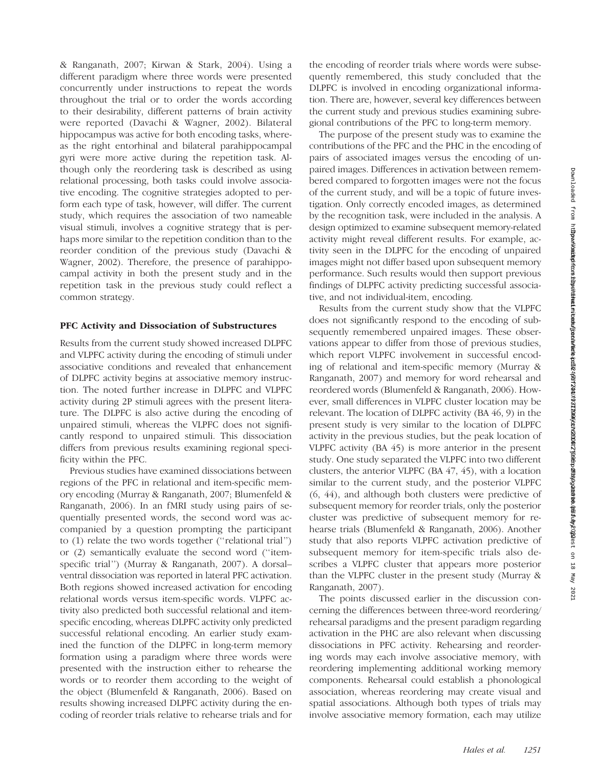& Ranganath, 2007; Kirwan & Stark, 2004). Using a different paradigm where three words were presented concurrently under instructions to repeat the words throughout the trial or to order the words according to their desirability, different patterns of brain activity were reported (Davachi & Wagner, 2002). Bilateral hippocampus was active for both encoding tasks, whereas the right entorhinal and bilateral parahippocampal gyri were more active during the repetition task. Although only the reordering task is described as using relational processing, both tasks could involve associative encoding. The cognitive strategies adopted to perform each type of task, however, will differ. The current study, which requires the association of two nameable visual stimuli, involves a cognitive strategy that is perhaps more similar to the repetition condition than to the reorder condition of the previous study (Davachi & Wagner, 2002). Therefore, the presence of parahippocampal activity in both the present study and in the repetition task in the previous study could reflect a common strategy.

### PFC Activity and Dissociation of Substructures

Results from the current study showed increased DLPFC and VLPFC activity during the encoding of stimuli under associative conditions and revealed that enhancement of DLPFC activity begins at associative memory instruction. The noted further increase in DLPFC and VLPFC activity during 2P stimuli agrees with the present literature. The DLPFC is also active during the encoding of unpaired stimuli, whereas the VLPFC does not significantly respond to unpaired stimuli. This dissociation differs from previous results examining regional specificity within the PFC.

Previous studies have examined dissociations between regions of the PFC in relational and item-specific memory encoding (Murray & Ranganath, 2007; Blumenfeld & Ranganath, 2006). In an fMRI study using pairs of sequentially presented words, the second word was accompanied by a question prompting the participant to (1) relate the two words together (''relational trial'') or (2) semantically evaluate the second word (''itemspecific trial'') (Murray & Ranganath, 2007). A dorsal– ventral dissociation was reported in lateral PFC activation. Both regions showed increased activation for encoding relational words versus item-specific words. VLPFC activity also predicted both successful relational and itemspecific encoding, whereas DLPFC activity only predicted successful relational encoding. An earlier study examined the function of the DLPFC in long-term memory formation using a paradigm where three words were presented with the instruction either to rehearse the words or to reorder them according to the weight of the object (Blumenfeld & Ranganath, 2006). Based on results showing increased DLPFC activity during the encoding of reorder trials relative to rehearse trials and for the encoding of reorder trials where words were subsequently remembered, this study concluded that the DLPFC is involved in encoding organizational information. There are, however, several key differences between the current study and previous studies examining subregional contributions of the PFC to long-term memory.

The purpose of the present study was to examine the contributions of the PFC and the PHC in the encoding of pairs of associated images versus the encoding of unpaired images. Differences in activation between remembered compared to forgotten images were not the focus of the current study, and will be a topic of future investigation. Only correctly encoded images, as determined by the recognition task, were included in the analysis. A design optimized to examine subsequent memory-related activity might reveal different results. For example, activity seen in the DLPFC for the encoding of unpaired images might not differ based upon subsequent memory performance. Such results would then support previous findings of DLPFC activity predicting successful associative, and not individual-item, encoding.

Results from the current study show that the VLPFC does not significantly respond to the encoding of subsequently remembered unpaired images. These observations appear to differ from those of previous studies, which report VLPFC involvement in successful encoding of relational and item-specific memory (Murray & Ranganath, 2007) and memory for word rehearsal and reordered words (Blumenfeld & Ranganath, 2006). However, small differences in VLPFC cluster location may be relevant. The location of DLPFC activity (BA 46, 9) in the present study is very similar to the location of DLPFC activity in the previous studies, but the peak location of VLPFC activity (BA 45) is more anterior in the present study. One study separated the VLPFC into two different clusters, the anterior VLPFC (BA 47, 45), with a location similar to the current study, and the posterior VLPFC (6, 44), and although both clusters were predictive of subsequent memory for reorder trials, only the posterior cluster was predictive of subsequent memory for rehearse trials (Blumenfeld & Ranganath, 2006). Another study that also reports VLPFC activation predictive of subsequent memory for item-specific trials also describes a VLPFC cluster that appears more posterior than the VLPFC cluster in the present study (Murray & Ranganath, 2007).

The points discussed earlier in the discussion concerning the differences between three-word reordering/ rehearsal paradigms and the present paradigm regarding activation in the PHC are also relevant when discussing dissociations in PFC activity. Rehearsing and reordering words may each involve associative memory, with reordering implementing additional working memory components. Rehearsal could establish a phonological association, whereas reordering may create visual and spatial associations. Although both types of trials may involve associative memory formation, each may utilize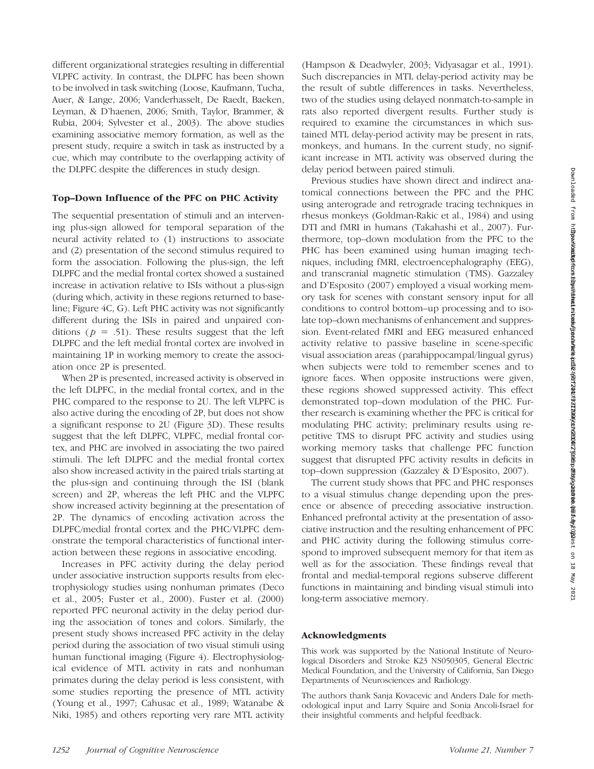different organizational strategies resulting in differential VLPFC activity. In contrast, the DLPFC has been shown to be involved in task switching (Loose, Kaufmann, Tucha, Auer, & Lange, 2006; Vanderhasselt, De Raedt, Baeken, Leyman, & D'haenen, 2006; Smith, Taylor, Brammer, & Rubia, 2004; Sylvester et al., 2003). The above studies examining associative memory formation, as well as the present study, require a switch in task as instructed by a cue, which may contribute to the overlapping activity of the DLPFC despite the differences in study design.

#### Top–Down Influence of the PFC on PHC Activity

The sequential presentation of stimuli and an intervening plus-sign allowed for temporal separation of the neural activity related to (1) instructions to associate and (2) presentation of the second stimulus required to form the association. Following the plus-sign, the left DLPFC and the medial frontal cortex showed a sustained increase in activation relative to ISIs without a plus-sign (during which, activity in these regions returned to baseline; Figure 4C, G). Left PHC activity was not significantly different during the ISIs in paired and unpaired conditions ( $p = .51$ ). These results suggest that the left DLPFC and the left medial frontal cortex are involved in maintaining 1P in working memory to create the association once 2P is presented.

When 2P is presented, increased activity is observed in the left DLPFC, in the medial frontal cortex, and in the PHC compared to the response to 2U. The left VLPFC is also active during the encoding of 2P, but does not show a significant response to 2U (Figure 3D). These results suggest that the left DLPFC, VLPFC, medial frontal cortex, and PHC are involved in associating the two paired stimuli. The left DLPFC and the medial frontal cortex also show increased activity in the paired trials starting at the plus-sign and continuing through the ISI (blank screen) and 2P, whereas the left PHC and the VLPFC show increased activity beginning at the presentation of 2P. The dynamics of encoding activation across the DLPFC/medial frontal cortex and the PHC/VLPFC demonstrate the temporal characteristics of functional interaction between these regions in associative encoding.

Increases in PFC activity during the delay period under associative instruction supports results from electrophysiology studies using nonhuman primates (Deco et al., 2005; Fuster et al., 2000). Fuster et al. (2000) reported PFC neuronal activity in the delay period during the association of tones and colors. Similarly, the present study shows increased PFC activity in the delay period during the association of two visual stimuli using human functional imaging (Figure 4). Electrophysiological evidence of MTL activity in rats and nonhuman primates during the delay period is less consistent, with some studies reporting the presence of MTL activity (Young et al., 1997; Cahusac et al., 1989; Watanabe & Niki, 1985) and others reporting very rare MTL activity

(Hampson & Deadwyler, 2003; Vidyasagar et al., 1991). Such discrepancies in MTL delay-period activity may be the result of subtle differences in tasks. Nevertheless, two of the studies using delayed nonmatch-to-sample in rats also reported divergent results. Further study is required to examine the circumstances in which sustained MTL delay-period activity may be present in rats, monkeys, and humans. In the current study, no significant increase in MTL activity was observed during the delay period between paired stimuli.

Previous studies have shown direct and indirect anatomical connections between the PFC and the PHC using anterograde and retrograde tracing techniques in rhesus monkeys (Goldman-Rakic et al., 1984) and using DTI and fMRI in humans (Takahashi et al., 2007). Furthermore, top–down modulation from the PFC to the PHC has been examined using human imaging techniques, including fMRI, electroencephalography (EEG), and transcranial magnetic stimulation (TMS). Gazzaley and D'Esposito (2007) employed a visual working memory task for scenes with constant sensory input for all conditions to control bottom–up processing and to isolate top–down mechanisms of enhancement and suppression. Event-related fMRI and EEG measured enhanced activity relative to passive baseline in scene-specific visual association areas (parahippocampal/lingual gyrus) when subjects were told to remember scenes and to ignore faces. When opposite instructions were given, these regions showed suppressed activity. This effect demonstrated top–down modulation of the PHC. Further research is examining whether the PFC is critical for modulating PHC activity; preliminary results using repetitive TMS to disrupt PFC activity and studies using working memory tasks that challenge PFC function suggest that disrupted PFC activity results in deficits in top–down suppression (Gazzaley & D'Esposito, 2007).

The current study shows that PFC and PHC responses to a visual stimulus change depending upon the presence or absence of preceding associative instruction. Enhanced prefrontal activity at the presentation of associative instruction and the resulting enhancement of PFC and PHC activity during the following stimulus correspond to improved subsequent memory for that item as well as for the association. These findings reveal that frontal and medial-temporal regions subserve different functions in maintaining and binding visual stimuli into long-term associative memory.

#### Acknowledgments

This work was supported by the National Institute of Neurological Disorders and Stroke K23 NS050305, General Electric Medical Foundation, and the University of California, San Diego Departments of Neurosciences and Radiology.

The authors thank Sanja Kovacevic and Anders Dale for methodological input and Larry Squire and Sonia Ancoli-Israel for their insightful comments and helpful feedback.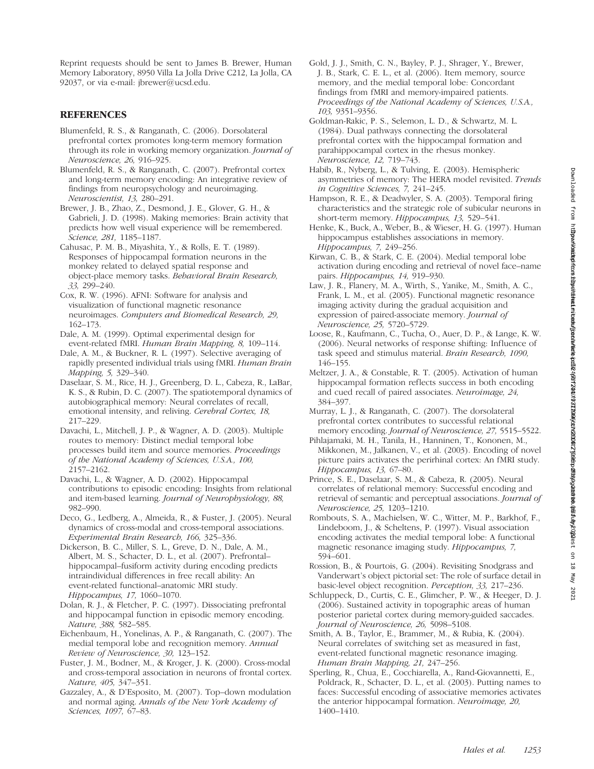Reprint requests should be sent to James B. Brewer, Human Memory Laboratory, 8950 Villa La Jolla Drive C212, La Jolla, CA 92037, or via e-mail: jbrewer@ucsd.edu.

#### REFERENCES

- Blumenfeld, R. S., & Ranganath, C. (2006). Dorsolateral prefrontal cortex promotes long-term memory formation through its role in working memory organization. Journal of Neuroscience, 26, 916–925.
- Blumenfeld, R. S., & Ranganath, C. (2007). Prefrontal cortex and long-term memory encoding: An integrative review of findings from neuropsychology and neuroimaging. Neuroscientist, 13, 280–291.
- Brewer, J. B., Zhao, Z., Desmond, J. E., Glover, G. H., & Gabrieli, J. D. (1998). Making memories: Brain activity that predicts how well visual experience will be remembered. Science, 281, 1185–1187.
- Cahusac, P. M. B., Miyashita, Y., & Rolls, E. T. (1989). Responses of hippocampal formation neurons in the monkey related to delayed spatial response and object-place memory tasks. Behavioral Brain Research, 33, 299–240.
- Cox, R. W. (1996). AFNI: Software for analysis and visualization of functional magnetic resonance neuroimages. Computers and Biomedical Research, 29, 162–173.
- Dale, A. M. (1999). Optimal experimental design for event-related fMRI. Human Brain Mapping, 8, 109–114.
- Dale, A. M., & Buckner, R. L. (1997). Selective averaging of rapidly presented individual trials using fMRI. Human Brain Mapping, 5, 329–340.
- Daselaar, S. M., Rice, H. J., Greenberg, D. L., Cabeza, R., LaBar, K. S., & Rubin, D. C. (2007). The spatiotemporal dynamics of autobiographical memory: Neural correlates of recall, emotional intensity, and reliving. Cerebral Cortex, 18, 217–229.
- Davachi, L., Mitchell, J. P., & Wagner, A. D. (2003). Multiple routes to memory: Distinct medial temporal lobe processes build item and source memories. Proceedings of the National Academy of Sciences, U.S.A., 100, 2157–2162.
- Davachi, L., & Wagner, A. D. (2002). Hippocampal contributions to episodic encoding: Insights from relational and item-based learning. Journal of Neurophysiology, 88, 982–990.
- Deco, G., Ledberg, A., Almeida, R., & Fuster, J. (2005). Neural dynamics of cross-modal and cross-temporal associations. Experimental Brain Research, 166, 325–336.
- Dickerson, B. C., Miller, S. L., Greve, D. N., Dale, A. M., Albert, M. S., Schacter, D. L., et al. (2007). Prefrontal– hippocampal–fusiform activity during encoding predicts intraindividual differences in free recall ability: An event-related functional–anatomic MRI study. Hippocampus, 17, 1060–1070.
- Dolan, R. J., & Fletcher, P. C. (1997). Dissociating prefrontal and hippocampal function in episodic memory encoding. Nature, 388, 582–585.
- Eichenbaum, H., Yonelinas, A. P., & Ranganath, C. (2007). The medial temporal lobe and recognition memory. Annual Review of Neuroscience, 30, 123–152.
- Fuster, J. M., Bodner, M., & Kroger, J. K. (2000). Cross-modal and cross-temporal association in neurons of frontal cortex. Nature, 405, 347–351.
- Gazzaley, A., & D'Esposito, M. (2007). Top–down modulation and normal aging. Annals of the New York Academy of Sciences, 1097, 67–83.
- Gold, J. J., Smith, C. N., Bayley, P. J., Shrager, Y., Brewer, J. B., Stark, C. E. L., et al. (2006). Item memory, source memory, and the medial temporal lobe: Concordant findings from fMRI and memory-impaired patients. Proceedings of the National Academy of Sciences, U.S.A., 103, 9351–9356.
- Goldman-Rakic, P. S., Selemon, L. D., & Schwartz, M. L. (1984). Dual pathways connecting the dorsolateral prefrontal cortex with the hippocampal formation and parahippocampal cortex in the rhesus monkey. Neuroscience, 12, 719–743.
- Habib, R., Nyberg, L., & Tulving, E. (2003). Hemispheric asymmetries of memory: The HERA model revisited. Trends in Cognitive Sciences, 7, 241–245.
- Hampson, R. E., & Deadwyler, S. A. (2003). Temporal firing characteristics and the strategic role of subicular neurons in short-term memory. Hippocampus, 13, 529–541.
- Henke, K., Buck, A., Weber, B., & Wieser, H. G. (1997). Human hippocampus establishes associations in memory. Hippocampus, 7, 249–256.
- Kirwan, C. B., & Stark, C. E. (2004). Medial temporal lobe activation during encoding and retrieval of novel face–name pairs. Hippocampus, 14, 919–930.
- Law, J. R., Flanery, M. A., Wirth, S., Yanike, M., Smith, A. C., Frank, L. M., et al. (2005). Functional magnetic resonance imaging activity during the gradual acquisition and expression of paired-associate memory. Journal of Neuroscience, 25, 5720–5729.
- Loose, R., Kaufmann, C., Tucha, O., Auer, D. P., & Lange, K. W. (2006). Neural networks of response shifting: Influence of task speed and stimulus material. Brain Research, 1090, 146–155.
- Meltzer, J. A., & Constable, R. T. (2005). Activation of human hippocampal formation reflects success in both encoding and cued recall of paired associates. Neuroimage, 24, 384–397.
- Murray, L. J., & Ranganath, C. (2007). The dorsolateral prefrontal cortex contributes to successful relational memory encoding. *Journal of Neuroscience*, 27, 5515–5522.
- Pihlajamaki, M. H., Tanila, H., Hanninen, T., Kononen, M., Mikkonen, M., Jalkanen, V., et al. (2003). Encoding of novel picture pairs activates the perirhinal cortex: An fMRI study. Hippocampus, 13, 67–80.
- Prince, S. E., Daselaar, S. M., & Cabeza, R. (2005). Neural correlates of relational memory: Successful encoding and retrieval of semantic and perceptual associations. Journal of Neuroscience, 25, 1203–1210.
- Rombouts, S. A., Machielsen, W. C., Witter, M. P., Barkhof, F., Lindeboom, J., & Scheltens, P. (1997). Visual association encoding activates the medial temporal lobe: A functional magnetic resonance imaging study. Hippocampus, 7, 594–601.
- Rossion, B., & Pourtois, G. (2004). Revisiting Snodgrass and Vanderwart's object pictorial set: The role of surface detail in basic-level object recognition. Perception, 33, 217–236.
- Schluppeck, D., Curtis, C. E., Glimcher, P. W., & Heeger, D. J. (2006). Sustained activity in topographic areas of human posterior parietal cortex during memory-guided saccades. Journal of Neuroscience, 26, 5098–5108.
- Smith, A. B., Taylor, E., Brammer, M., & Rubia, K. (2004). Neural correlates of switching set as measured in fast, event-related functional magnetic resonance imaging. Human Brain Mapping, 21, 247–256.
- Sperling, R., Chua, E., Cocchiarella, A., Rand-Giovannetti, E., Poldrack, R., Schacter, D. L., et al. (2003). Putting names to faces: Successful encoding of associative memories activates the anterior hippocampal formation. Neuroimage, 20, 1400–1410.